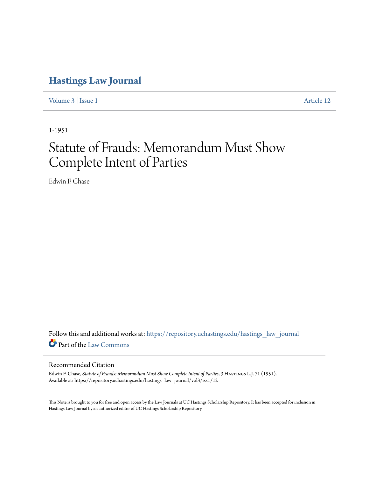## **[Hastings Law Journal](https://repository.uchastings.edu/hastings_law_journal?utm_source=repository.uchastings.edu%2Fhastings_law_journal%2Fvol3%2Fiss1%2F12&utm_medium=PDF&utm_campaign=PDFCoverPages)**

[Volume 3](https://repository.uchastings.edu/hastings_law_journal/vol3?utm_source=repository.uchastings.edu%2Fhastings_law_journal%2Fvol3%2Fiss1%2F12&utm_medium=PDF&utm_campaign=PDFCoverPages) | [Issue 1](https://repository.uchastings.edu/hastings_law_journal/vol3/iss1?utm_source=repository.uchastings.edu%2Fhastings_law_journal%2Fvol3%2Fiss1%2F12&utm_medium=PDF&utm_campaign=PDFCoverPages) [Article 12](https://repository.uchastings.edu/hastings_law_journal/vol3/iss1/12?utm_source=repository.uchastings.edu%2Fhastings_law_journal%2Fvol3%2Fiss1%2F12&utm_medium=PDF&utm_campaign=PDFCoverPages)

1-1951

## Statute of Frauds: Memorandum Must Show Complete Intent of Parties

Edwin F. Chase

Follow this and additional works at: [https://repository.uchastings.edu/hastings\\_law\\_journal](https://repository.uchastings.edu/hastings_law_journal?utm_source=repository.uchastings.edu%2Fhastings_law_journal%2Fvol3%2Fiss1%2F12&utm_medium=PDF&utm_campaign=PDFCoverPages) Part of the [Law Commons](http://network.bepress.com/hgg/discipline/578?utm_source=repository.uchastings.edu%2Fhastings_law_journal%2Fvol3%2Fiss1%2F12&utm_medium=PDF&utm_campaign=PDFCoverPages)

## Recommended Citation

Edwin F. Chase, *Statute of Frauds: Memorandum Must Show Complete Intent of Parties*, 3 HASTINGS L.J. 71 (1951). Available at: https://repository.uchastings.edu/hastings\_law\_journal/vol3/iss1/12

This Note is brought to you for free and open access by the Law Journals at UC Hastings Scholarship Repository. It has been accepted for inclusion in Hastings Law Journal by an authorized editor of UC Hastings Scholarship Repository.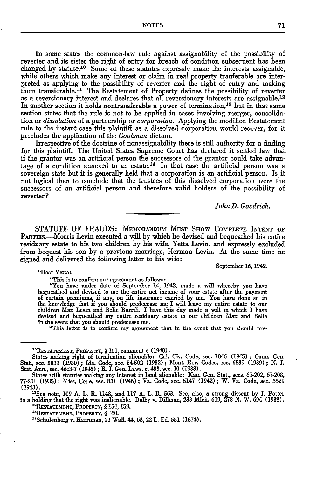NOTES 71

In some states the common-law rule against assignability of the possibility of reverter and its sister the right of entry for breach of condition subsequent has been changed by statute.10 Some of these statutes expressly make the interests assignable, while others which make any interest or claim in real property tranferable are interpreted as applying to the possibility of reverter and the right of entry and making them transferable.<sup>11</sup> The Restatement of Property defines the possibility of reverter as a reversionary interest and declares that all reversionary interests are assignable.<sup>12</sup> In another section it holds nontransferable a power of termination,<sup>13</sup> but in that same section states that the rule is not to be applied in cases involving merger, consolidation or *dissolution* of a partnership or *corporation.* Applying the modified Restatement rule to the instant case this plaintiff as a dissolved corporation would recover, for it precludes the application of the *Cookman* dictum.

Irrespective of the doctrine of nonassignability there is still authority for a finding for this plaintiff. The United States Supreme Court has declared it settled law that if the grantor was an artificial person the successors of the grantor could take advantage of a condition annexed to an estate.<sup>14</sup> In that case the artificial person was a sovereign state but it is generally held that a corporation is an artificial person. Is it not logical then to conclude that the trustees of this dissolved corporation were the successors of an artificial person and therefore valid holders of the possibility of reverter **?**

*John D. Goodrich.*

September **16,** 1942.

STATUTE OF FRAUDS: **MEMORANDUM MUST SHOW COMPLETE INTENT** OF PARTIES.—Morris Levin executed a will by which he devised and bequeathed his entire residuary estate to his two children by his wife, Yetta Levin, and expressly excluded from bequest his son by a previous marriage, Herman Levin. At the same time he signed and delivered the following letter to his wife:

"Dear Yetta:

"This is to confirm our agreement as follows:

"You have under date of September 14, 1942, made a will whereby you have bequeathed and devised to me the entire net income of your estate after the payment of certain premiums, if any, on life insurance carried by me. You have done so in the knowledge that if you should predecease me I will leave my entire estate to our children Max Levin and Belle Burrill. I have this day made a will in which I have devised and bequeathed my entire residuary estate to our children Max and Belle

"This letter is to confirm my agreement that in the event that you should pre-

" 1 See note, **109 A.** L. R. 1148, and **117 A. L. R. 563.** See, also, a strong dissent **by J.** Potter to a holding that the right was inalienable. Dolby v. Dillman, 283 Mich. 609, 278 N. W. 694 (1938). **<sup>2</sup> 11ESTATEMENT, PROPERTY,** § 154, **159.**

<sup>13</sup>RESTATEMENT, PROPERTY, § 160.<br><sup>14</sup>Schulenberg v. Harriman, 21 Wall. 44, 63, 22 L. Ed. 551 (1874).

**<sup>&</sup>quot;R1 ESTATEMENT, PROPERTY,** § **160,** comment c (1948).

States making right of termination alienable: Cal. Civ. Code, sec. 1046 (1945) **;** Conn. Gen. Stat., see. **5033 (1930) ;** Ida. Code, sec. 54-502 **(1932) ;** Mont. Rev. Codes, see. **6839 (1939) ; N. J.** Stat. Ann., sec. **46:3-7** (1946) **;** R. L Gen. Laws, **c.** 433, sec. **10 (1938).** States with statutes making any interest in land alienable: Kan. Gen. Stat., secs. **67-202, 67-208,**

**<sup>77-201 (1935) ;</sup>** Miss. Code, sec. **831** (1946) **;** Va. Code, sec. 5147 (1942) **;** W. Va. Code, see. 3529 **(1943).**